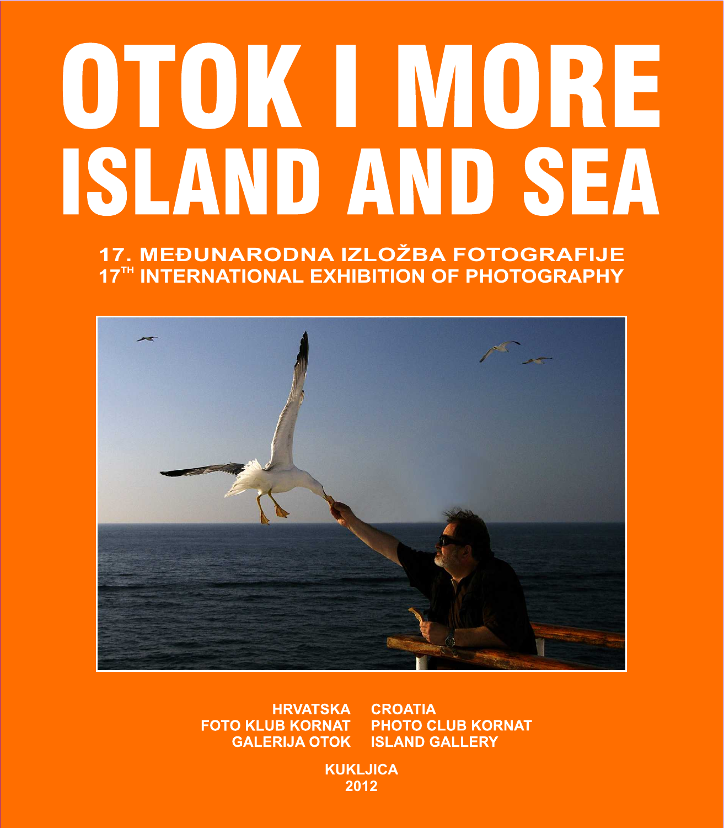# OTOKINORE **ISLAND AND SEA**

17. MEĐUNARODNA IZLOŽBA FOTOGRAFIJE 17TH INTERNATIONAL EXHIBITION OF PHOTOGRAPHY



**HRVATSKA CROATIA FOTO KLUB KORNAT PHOTO CLUB KORNAT ISLAND GALLERY GALERIJA OTOK** 

> **KUKLJICA** 2012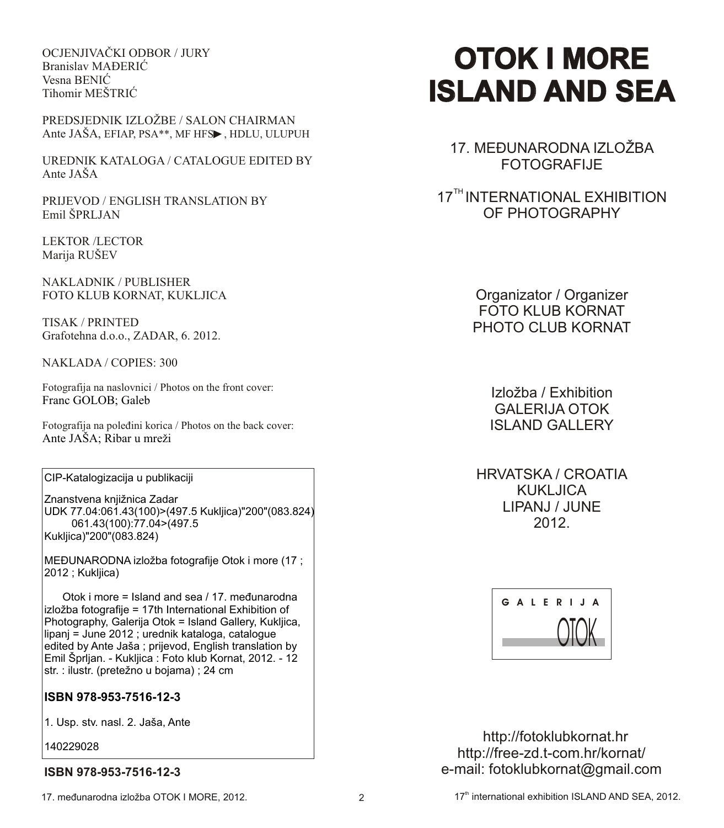OCJENJIVAÈKI ODBOR / JURY Branislav MAĐERIĆ Vesna BENIĆ Tihomir MEŠTRIĆ

PREDSJEDNIK IZLOŽBE / SALON CHAIRMAN Ante JAŠA, EFIAP, PSA\*\*, MF HFS>, HDLU, ULUPUH

UREDNIK KATALOGA / CATALOGUE EDITED BY Ante JAŠA

PRIJEVOD / ENGLISH TRANSLATION BY Emil ŠPRLJAN

LEKTOR /LECTOR Marija RUŠEV

NAKLADNIK / PUBLISHER FOTO KLUB KORNAT, KUKLJICA

TISAK / PRINTED Grafotehna d.o.o., ZADAR, 6. 2012.

NAKLADA / COPIES: 300

Fotografija na naslovnici / Photos on the front cover: Franc GOLOB; Galeb

Fotografija na poleðini korica / Photos on the back cover: Ante JAŠA; Ribar u mreži

CIP-Katalogizacija u publikaciji

Znanstvena knjižnica Zadar UDK 77.04:061.43(100)>(497.5 Kukljica)"200"(083.824) 061.43(100):77.04>(497.5 Kukljica)"200"(083.824)

MEÐUNARODNA izložba fotografije Otok i more (17 ; 2012 ; Kukljica)

 Otok i more = Island and sea / 17. meðunarodna izložba fotografije = 17th International Exhibition of Photography, Galerija Otok = Island Gallery, Kukljica, lipanj = June 2012 ; urednik kataloga, catalogue edited by Ante Jaša ; prijevod, English translation by Emil Šprljan. - Kukljica : Foto klub Kornat, 2012. - 12 str. : ilustr. (pretežno u bojama) ; 24 cm

# **ISBN 978-953-7516-12-3**

1. Usp. stv. nasl. 2. Jaša, Ante

140229028

# **ISBN 978-953-7516-12-3**

# **OTOK I MORE OTOK I ISLAND AND SEA**

17. MEÐUNARODNA IZLOŽBA FOTOGRAFIJE

17<sup>TH</sup> INTERNATIONAL EXHIBITION OF PHOTOGRAPHY

> Organizator / Organizer FOTO KLUB KORNAT PHOTO CLUB KORNAT

> > Izložba / Exhibition GALERIJA OTOK **ISI AND GALLERY**

HRVATSKA / CROATIA KUKI JICA LIPANJ / JUNE 2012.



 http://fotoklubkornat.hr http://free-zd.t-com.hr/kornat/ e-mail: fotoklubkornat@gmail.com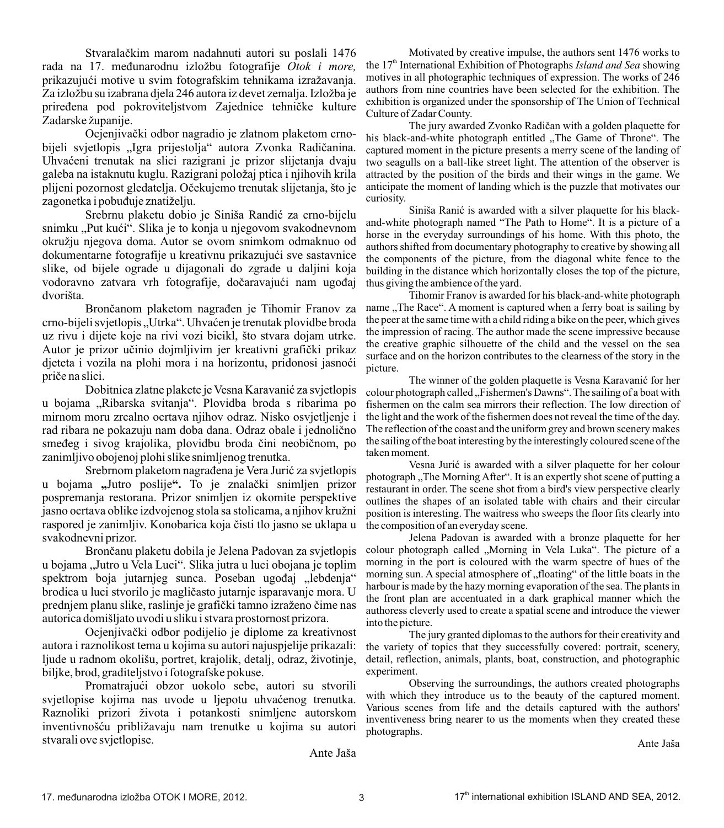Stvaralaèkim marom nadahnuti autori su poslali 1476 rada na 17. meðunarodnu izložbu fotografije *Otok i more,* prikazujući motive u svim fotografskim tehnikama izražavanja. Za izložbu su izabrana djela 246 autora iz devet zemalja. Izložba je prireðena pod pokroviteljstvom Zajednice tehnièke kulture Zadarske županije.

Ocjenjivaèki odbor nagradio je zlatnom plaketom crnobijeli svjetlopis "Igra prijestolja" autora Zvonka Radičanina. Uhvaćeni trenutak na slici razigrani je prizor slijetanja dvaju galeba na istaknutu kuglu. Razigrani položaj ptica i njihovih krila plijeni pozornost gledatelja. Oèekujemo trenutak slijetanja, što je zagonetka i pobuðuje znatiželju.

Srebrnu plaketu dobio je Siniša Randić za crno-bijelu snimku "Put kući". Slika je to konja u njegovom svakodnevnom okružju njegova doma. Autor se ovom snimkom odmaknuo od dokumentarne fotografije u kreativnu prikazujući sve sastavnice slike, od bijele ograde u dijagonali do zgrade u daljini koja vodoravno zatvara vrh fotografije, dočaravajući nam ugođaj dvorišta.

Bronèanom plaketom nagraðen je Tihomir Franov za crno-bijeli svjetlopis "Utrka". Uhvaćen je trenutak plovidbe broda uz rivu i dijete koje na rivi vozi bicikl, što stvara dojam utrke. Autor je prizor uèinio dojmljivim jer kreativni grafièki prikaz djeteta i vozila na plohi mora i na horizontu, pridonosi jasnoći prièe na slici.

Dobitnica zlatne plakete je Vesna Karavanić za svjetlopis u bojama "Ribarska svitanja". Plovidba broda s ribarima po mirnom moru zrcalno ocrtava njihov odraz. Nisko osvjetljenje i rad ribara ne pokazuju nam doba dana. Odraz obale i jednolièno smeðeg i sivog krajolika, plovidbu broda èini neobiènom, po zanimljivo obojenoj plohi slike snimljenog trenutka.

Srebrnom plaketom nagraðena je Vera Jurić za svjetlopis u bojama **"**Jutro poslije**".** To je znalaèki snimljen prizor pospremanja restorana. Prizor snimljen iz okomite perspektive jasno ocrtava oblike izdvojenog stola sa stolicama, a njihov kružni raspored je zanimljiv. Konobarica koja èisti tlo jasno se uklapa u svakodnevni prizor.

Bronèanu plaketu dobila je Jelena Padovan za svjetlopis u bojama "Jutro u Vela Luci". Slika jutra u luci obojana je toplim spektrom boja jutarnjeg sunca. Poseban ugođaj "lebdenja" brodica u luci stvorilo je maglièasto jutarnje isparavanje mora. U prednjem planu slike, raslinje je grafièki tamno izraženo èime nas autorica domišljato uvodi u sliku i stvara prostornost prizora.

Ocjenjivaèki odbor podijelio je diplome za kreativnost autora i raznolikost tema u kojima su autori najuspjelije prikazali: ljude u radnom okolišu, portret, krajolik, detalj, odraz, životinje, biljke, brod, graditeljstvo i fotografske pokuse.

Promatrajući obzor uokolo sebe, autori su stvorili svjetlopise kojima nas uvode u ljepotu uhvaćenog trenutka. Raznoliki prizori života i potankosti snimljene autorskom inventivnošæu približavaju nam trenutke u kojima su autori stvarali ove svjetlopise.

Motivated by creative impulse, the authors sent 1476 works to the 17<sup>th</sup> International Exhibition of Photographs *Island and Sea* showing motives in all photographic techniques of expression. The works of 246 authors from nine countries have been selected for the exhibition. The exhibition is organized under the sponsorship of The Union of Technical Culture of Zadar County.

The jury awarded Zvonko Radièan with a golden plaquette for his black-and-white photograph entitled "The Game of Throne". The captured moment in the picture presents a merry scene of the landing of two seagulls on a ball-like street light. The attention of the observer is attracted by the position of the birds and their wings in the game. We anticipate the moment of landing which is the puzzle that motivates our curiosity.

Siniša Ranić is awarded with a silver plaquette for his blackand-white photograph named "The Path to Home". It is a picture of a horse in the everyday surroundings of his home. With this photo, the authors shifted from documentary photography to creative by showing all the components of the picture, from the diagonal white fence to the building in the distance which horizontally closes the top of the picture, thus giving the ambience of the yard.

Tihomir Franov is awarded for his black-and-white photograph name "The Race". A moment is captured when a ferry boat is sailing by the peer at the same time with a child riding a bike on the peer, which gives the impression of racing. The author made the scene impressive because the creative graphic silhouette of the child and the vessel on the sea surface and on the horizon contributes to the clearness of the story in the picture.

The winner of the golden plaquette is Vesna Karavanić for her colour photograph called "Fishermen's Dawns". The sailing of a boat with fishermen on the calm sea mirrors their reflection. The low direction of the light and the work of the fishermen does not reveal the time of the day. The reflection of the coast and the uniform grey and brown scenery makes the sailing of the boat interesting by the interestingly coloured scene of the taken moment.

Vesna Jurić is awarded with a silver plaquette for her colour photograph "The Morning After". It is an expertly shot scene of putting a restaurant in order. The scene shot from a bird's view perspective clearly outlines the shapes of an isolated table with chairs and their circular position is interesting. The waitress who sweeps the floor fits clearly into the composition of an everyday scene.

Jelena Padovan is awarded with a bronze plaquette for her colour photograph called "Morning in Vela Luka". The picture of a morning in the port is coloured with the warm spectre of hues of the morning sun. A special atmosphere of "floating" of the little boats in the harbour is made by the hazy morning evaporation of the sea. The plants in the front plan are accentuated in a dark graphical manner which the authoress cleverly used to create a spatial scene and introduce the viewer into the picture.

The jury granted diplomas to the authors for their creativity and the variety of topics that they successfully covered: portrait, scenery, detail, reflection, animals, plants, boat, construction, and photographic experiment.

Observing the surroundings, the authors created photographs with which they introduce us to the beauty of the captured moment. Various scenes from life and the details captured with the authors' inventiveness bring nearer to us the moments when they created these photographs.

Ante Jaša

Ante Jaša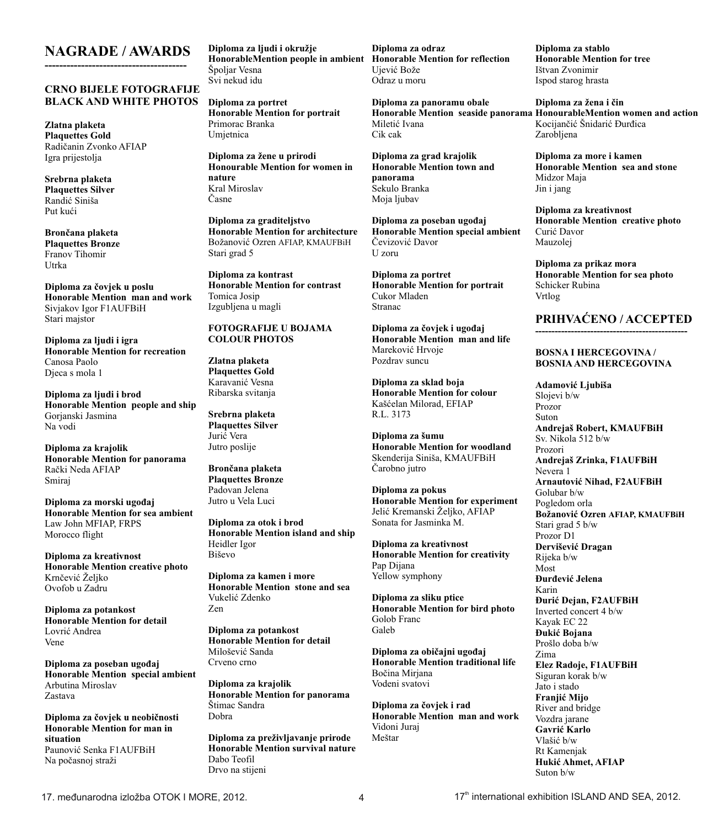# **NAGRADE / AWARDS ---------------------------------------**

#### **CRNO BIJELE FOTOGRAFIJE BLACK AND WHITE PHOTOS**

**Zlatna plaketa Plaquettes Gold** Radièanin Zvonko AFIAP Igra prijestolja

**Srebrna plaketa Plaquettes Silver** Randiæ Siniša Put kući

**Bronèana plaketa Plaquettes Bronze** Franov Tihomir Utrka

**Diploma za èovjek u poslu Honorable Mention man and work** Sivjakov Igor F1AUFBiH Stari majstor

**Diploma za ljudi i igra Honorable Mention for recreation** Canosa Paolo Djeca s mola 1

**Diploma za ljudi i brod Honorable Mention people and ship** Gorjanski Jasmina Na vodi

**Diploma za krajolik Honorable Mention for panorama** Raèki Neda AFIAP Smiraj

**Diploma za morski ugoðaj Honorable Mention for sea ambient** Law John MFIAP, FRPS Morocco flight

**Diploma za kreativnost Honorable Mention creative photo** Krnèeviæ Željko Ovofob u Zadru

**Diploma za potankost Honorable Mention for detail** Lovrić Andrea Vene

**Diploma za poseban ugoðaj Honorable Mention special ambient** Arbutina Miroslav Zastava

**Diploma za èovjek u neobiènosti Honorable Mention for man in situation** Paunović Senka F1AUFBiH Na poèasnoj straži

**Diploma za ljudi i okružje HonorableMention people in ambient Honorable Mention for reflection** Špoljar Vesna Svi nekud idu

**Diploma za portret Honorable Mention for portrait** Primorac Branka Umjetnica

**Diploma za žene u prirodi Honourable Mention for women in nature** Kral Miroslav Èasne

**Diploma za graditeljstvo Honorable Mention for architecture**  Božanović Ozren AFIAP, KMAUFBiH Stari grad 5

**Diploma za kontrast Honorable Mention for contrast** Tomica Josip Izgubljena u magli

#### **FOTOGRAFIJE U BOJAMA COLOUR PHOTOS**

**Zlatna plaketa Plaquettes Gold** Karavanić Vesna Ribarska svitanja

**Srebrna plaketa Plaquettes Silver** Jurić Vera Jutro poslije

**Bronèana plaketa Plaquettes Bronze** Padovan Jelena Jutro u Vela Luci

**Diploma za otok i brod Honorable Mention island and ship** Heidler Igor Biševo

**Diploma za kamen i more Honorable Mention stone and sea** Vukeliæ Zdenko Zen

**Diploma za potankost Honorable Mention for detail** Milošević Sanda Crveno crno

**Diploma za krajolik Honorable Mention for panorama** Štimac Sandra Dobra

**Diploma za preživljavanje prirode Honorable Mention survival nature** Dabo Teofil Drvo na stijeni

**Diploma za odraz** Ujeviæ Bože Odraz u moru

**Diploma za panoramu obale** Miletić Ivana Cik cak

**Diploma za grad krajolik Honorable Mention town and panorama** Sekulo Branka Moja ljubav

**Diploma za poseban ugoðaj Honorable Mention special ambient** Čevizović Davor U zoru

**Diploma za portret Honorable Mention for portrait** Cukor Mladen Stranac

**Diploma za èovjek i ugoðaj Honorable Mention man and life** Marekoviæ Hrvoje Pozdrav suncu

**Diploma za sklad boja Honorable Mention for colour** Kašæelan Milorad, EFIAP R.L. 3173

**Diploma za šumu Honorable Mention for woodland** Skenderija Siniša, KMAUFBiH Èarobno jutro

**Diploma za pokus Honorable Mention for experiment** Jeliæ Kremanski Željko, AFIAP Sonata for Jasminka M.

**Diploma za kreativnost Honorable Mention for creativity** Pap Dijana Yellow symphony

**Diploma za sliku ptice Honorable Mention for bird photo** Golob Franc **Galeb** 

**Diploma za obièajni ugoðaj Honorable Mention traditional life** Boèina Mirjana Vodeni svatovi

**Diploma za èovjek i rad Honorable Mention man and work** Vidoni Juraj Meštar

**Diploma za stablo Honorable Mention for tree** Ištvan Zvonimir Ispod starog hrasta

Honorable Mention seaside panorama HonourableMention women and action **Diploma za žena i èin** Kocijančić Šnidarić Đurđica Zarobljena

> **Diploma za more i kamen Honorable Mention sea and stone** Midzor Maja Jin i jang

**Diploma za kreativnost Honorable Mention creative photo** Curić Davor Mauzolej

**Diploma za prikaz mora Honorable Mention for sea photo** Schicker Rubina Vrtlog

#### **PRIHVAÆENO / ACCEPTED -----------------------------------------------**

#### **BOSNA I HERCEGOVINA / BOSNIA AND HERCEGOVINA**

**Adamoviæ Ljubiša** Slojevi b/w Prozor Suton **Andrejaš Robert, KMAUFBiH** Sv. Nikola 512 b/w Prozori **Andrejaš Zrinka, F1AUFBiH** Nevera 1 **Arnautoviæ Nihad, F2AUFBiH** Golubar b/w Pogledom orla **Božanoviæ Ozren AFIAP, KMAUFBiH** Stari grad 5 b/w Prozor D1 **Derviševiæ Dragan** Rijeka b/w Most **Ðurðeviæ Jelena** Karin **Ðuriæ Dejan, F2AUFBiH** Inverted concert 4 b/w Kayak EC 22 **Ðukiæ Bojana** Prošlo doba b/w Zima **Elez Radoje, F1AUFBiH** Siguran korak b/w Jato i stado **Franjiæ Mijo** River and bridge Vozdra jarane **Gavriæ Karlo** Vlašić b/w Rt Kamenjak **Hukić Ahmet, AFIAP** Suton b/w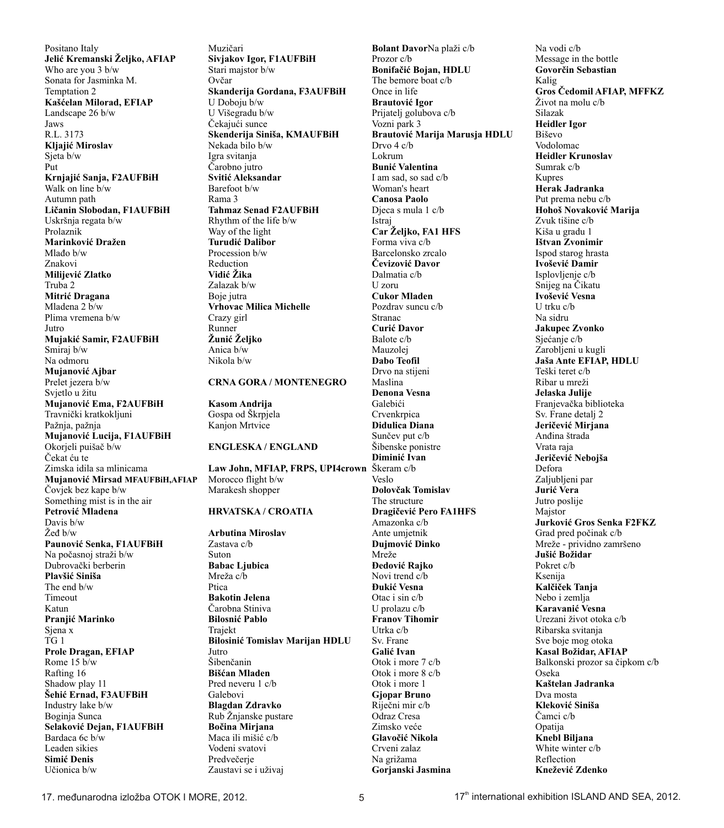Positano Italy **Jeliæ Kremanski Željko, AFIAP** Who are you 3 b/w Sonata for Jasminka M. Temptation 2 **Kašæelan Milorad, EFIAP** Landscape 26 b/w Jaws R.L. 3173 **Kljajiæ Miroslav** Sjeta b/w Put **Krnjajiæ Sanja, F2AUFBiH** Walk on line b/w Autumn path **Lièanin Slobodan, F1AUFBiH** Uskršnja regata b/w Prolaznik **Marinkoviæ Dražen** Mlaðo b/w Znakovi **Milijeviæ Zlatko** Truba 2 **Mitriæ Dragana** Mladena 2 b/w Plima vremena b/w Jutro **Mujakiæ Samir, F2AUFBiH** Smiraj b/w Na odmoru **Mujanoviæ Ajbar** Prelet jezera b/w Svjetlo u žitu **Mujanoviæ Ema, F2AUFBiH** Travnièki kratkokljuni Pažnja, pažnja **Mujanoviæ Lucija, F1AUFBiH** Okorjeli puišaè b/w Èekat æu te Zimska idila sa mlinicama **Mujanoviæ Mirsad MFAUFBiH,AFIAP** Èovjek bez kape b/w Something mist is in the air Petrović Mladena Davis b/w Žeð b/w Paunović Senka, F1AUFBiH Na poèasnoj straži b/w Dubrovački berberin **Plavšiæ Siniša** The end b/w Timeout Katun **Pranjiæ Marinko** Sjena x TG 1 **Prole Dragan, EFIAP** Rome 15 b/w Rafting 16 Shadow play 11 Šehić Ernad, F3AUFBiH Industry lake b/w Boginja Sunca **Selakoviæ Dejan, F1AUFBiH** Bardaca 6c b/w Leaden sikies **Simiæ Denis** Uèionica b/w

Muzièari **Sivjakov Igor, F1AUFBiH** Stari majstor b/w Ovèar **Skanderija Gordana, F3AUFBiH** U Doboju b/w U Višegradu b/w Čekajući sunce **Skenderija Siniša, KMAUFBiH** Nekada bilo b/w Igra svitanja Èarobno jutro **Svitiæ Aleksandar** Barefoot b/w Rama 3 **Tahmaz Senad F2AUFBiH** Rhythm of the life b/w Way of the light **Turudiæ Dalibor** Procession b/w Reduction **Vidiæ Žika** Zalazak b/w Boje jutra **Vrhovac Milica Michelle** Crazy girl Runner **Žuniæ Željko** Anica b/w Nikola b/w **CRNA GORA / MONTENEGRO**

# **Kasom Andrija**

Gospa od Škrpjela Kanjon Mrtvice

#### **ENGLESKA / ENGLAND**

**Law John, MFIAP, FRPS, UPI4crown** Škeram c/b Morocco flight b/w Marakesh shopper **HRVATSKA / CROATIA**

**Arbutina Miroslav** Zastava c/b Suton **Babac Ljubica** Mreža c/b Ptica **Bakotin Jelena** Èarobna Stiniva **Bilosniæ Pablo** Trajekt **Bilosiniæ Tomislav Marijan HDLU** Jutro Šibenèanin **Bišæan Mladen** Pred neveru 1 c/b Galebovi **Blagdan Zdravko** Rub Žnjanske pustare **Boèina Mirjana** Maca ili mišić c/b Vodeni svatovi Predvečerie Zaustavi se i uživaj

**Bolant Davor**Na plaži c/b Prozor c/b **Bonifaèiæ Bojan, HDLU** The bemore boat c/b Once in life **Brautoviæ Igor** Prijatelj golubova c/b Vozni park 3 **Brautoviæ Marija Marusja HDLU** Drvo 4 c/b Lokrum **Bunić Valentina** I am sad, so sad c/b Woman's heart **Canosa Paolo** Djeca s mula 1 c/b Istraj **Car Željko, FA1 HFS** Forma viva c/b Barcelonsko zrcalo **Èevizoviæ Davor** Dalmatia c/b U zoru **Cukor Mladen** Pozdrav suncu c/b Stranac **Curiæ Davor** Balote c/b Mauzolej **Dabo Teofil** Drvo na stijeni Maslina **Denona Vesna** Galebići Crvenkrpica **Didulica Diana** Sunèev put c/b Šibenske ponistre **Diminić** Ivan Veslo **Dolovèak Tomislav** The structure Dragičević Pero FA1HFS Amazonka c/b Ante umjetnik **Dujmoviæ Dinko** Mreže **Ðedoviæ Rajko** Novi trend c/b **Ðukiæ Vesna** Otac i sin c/b U prolazu c/b **Franov Tihomir** Utrka c/b Sv. Frane **Galiæ Ivan** Otok i more 7 c/b Otok i more 8 c/b Otok i more 1 **Gjopar Bruno** Rijeèni mir c/b Odraz Cresa Zimsko veće **Glavoèiæ Nikola** Crveni zalaz Na grižama **Gorjanski Jasmina**

Na vodi c/b Message in the bottle **Govorèin Sebastian** Kalig **Gros Èedomil AFIAP, MFFKZ** Život na molu c/b Silazak **Heidler Igor** Biševo Vodolomac **Heidler Krunoslav** Sumrak c/b Kupres **Herak Jadranka** Put prema nebu c/b **Hohoš Novakoviæ Marija** Zvuk tišine c/b Kiša u gradu 1 **Ištvan Zvonimir** Ispod starog hrasta **Ivoševiæ Damir** Isplovljenje c/b Snijeg na Èikatu **Ivoševiæ Vesna** U trku c/b Na sidru **Jakupec Zvonko** Sjećanje c/b Zarobljeni u kugli **Jaša Ante EFIAP, HDLU** Teški teret c/b Ribar u mreži **Jelaska Julije** Franjevaèka biblioteka Sv. Frane detalj 2 **Jerièeviæ Mirjana** Anðina štrada Vrata raja **Jerièeviæ Nebojša** Defora Zaljubljeni par **Jurić** Vera Jutro poslije Majstor **Jurkoviæ Gros Senka F2FKZ** Grad pred poèinak c/b Mreže - prividno zamršeno **Jušiæ Božidar** Pokret c/b Ksenija **Kalèièek Tanja** Nebo i zemlja **Karavaniæ Vesna** Urezani život otoka c/b Ribarska svitanja Sve boje mog otoka **Kasal Božidar, AFIAP** Balkonski prozor sa čipkom c/b Oseka **Kaštelan Jadranka** Dva mosta **Klekoviæ Siniša** Èamci c/b Opatija **Knebl Biljana** White winter c/b Reflection **Kneževiæ Zdenko**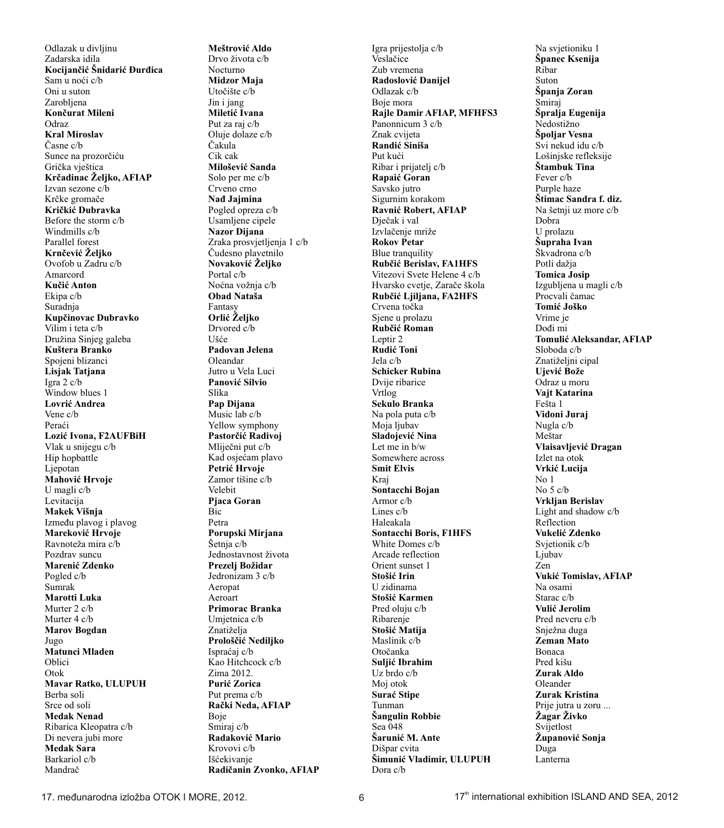Odlazak u divljinu Zadarska idila **Kocijanèiæ Šnidariæ Ðurðica** Sam u noći c/b Oni u suton Zarobljena **Konèurat Mileni** Odraz **Kral Miroslav** Èasne c/b Sunce na prozorčiću Grička vještica **Krèadinac Željko, AFIAP** Izvan sezone c/b Krčke gromače **Krièkiæ Dubravka** Before the storm c/b Windmills c/b Parallel forest **Krnèeviæ Željko** Ovofob u Zadru c/b Amarcord **Kuèiæ Anton** Ekipa c/b Suradnja **Kupèinovac Dubravko** Vilim i teta c/b Družina Sinjeg galeba **Kuštera Branko** Spojeni blizanci **Lisjak Tatjana** Igra 2 c/b Window blues 1 **Lovriæ Andrea** Vene c/b Peraći **Loziæ Ivona, F2AUFBiH** Vlak u snijegu c/b Hip hopbattle Ljepotan **Mahoviæ Hrvoje** U magli c/b Levitacija **Makek Višnja** Izmeðu plavog i plavog **Marekoviæ Hrvoje** Ravnoteža mira c/b Pozdrav suncu **Marenić Zdenko** Pogled c/b Sumrak **Marotti Luka** Murter 2 c/b Murter 4 c/b **Marov Bogdan** Jugo **Matunci Mladen** Oblici Otok **Mavar Ratko, ULUPUH** Berba soli Srce od soli **Medak Nenad** Ribarica Kleopatra c/b Di nevera jubi more **Medak Sara** Barkariol c/b Mandraè

**Meštroviæ Aldo** Drvo života c/b Nocturno **Midzor Maja** Utoèište c/b Jin i jang **Miletić** Ivana Put za raj c/b Oluje dolaze c/b Èakula Cik cak **Miloševiæ Sanda** Solo per me c/b Crveno crno **Nað Jajmina** Pogled opreza c/b Usamljene cipele **Nazor Dijana** Zraka prosvjetljenja 1 c/b Èudesno plavetnilo **Novakoviæ Željko** Portal c/b Noæna vožnja c/b **Obad Nataša** Fantasy **Orliæ Željko** Drvored c/b Ušæe **Padovan Jelena** Oleandar Jutro u Vela Luci **Panoviæ Silvio** Slika **Pap Dijana** Music lab c/b Yellow symphony Pastorčić Radivoj Mlijeèni put c/b Kad osjećam plavo Petrić Hrvoje Zamor tišine c/b Velebit **Pjaca Goran Bic** Petra **Porupski Mirjana** Šetnja c/b Jednostavnost života **Prezelj Božidar** Jedronizam 3 c/b Aeropat Aeroart **Primorac Branka** Umjetnica c/b Znatiželja **Prološèiæ Nediljko** Ispraæaj c/b Kao Hitchcock c/b Zima 2012. Purić Zorica Put prema c/b **Raèki Neda, AFIAP** Boje Smiraj c/b **Radakoviæ Mario** Krovovi c/b Išćekivanje **Radièanin Zvonko, AFIAP** Igra prijestolja c/b Veslaèice Zub vremena **Radosloviæ Danijel** Odlazak c/b Boje mora **Rajle Damir AFIAP, MFHFS3** Panonnicum 3 c/b Znak cvijeta **Randiæ Siniša** Put kući Ribar i prijatelj c/b **Rapaiæ Goran** Savsko jutro Sigurnim korakom **Ravniæ Robert, AFIAP** Djeèak i val Izvlaèenje mriže **Rokov Petar** Blue tranquility **Rubèiæ Berislav, FA1HFS** Vitezovi Svete Helene 4 c/b Hvarsko cvetje, Zarače škola **Rubèiæ Ljiljana, FA2HFS** Crvena toèka Sjene u prolazu **Rubèiæ Roman** Leptir 2 **Rudiæ Toni** Jela c/b **Schicker Rubina** Dvije ribarice Vrtlog **Sekulo Branka** Na pola puta c/b Moja ljubav **Sladojeviæ Nina** Let me in b/w Somewhere across **Smit Elvis** Kraj **Sontacchi Bojan** Armor c/b Lines c/b Haleakala **Sontacchi Boris, F1HFS** White Domes c/b Arcade reflection Orient sunset 1 **Stošiæ Irin** U zidinama **Stošiæ Karmen** Pred oluju c/b Ribarenje **Stošiæ Matija** Maslinik c/b Otoèanka **Suljiæ Ibrahim** Uz brdo c/b Moj otok **Surać Stipe** Tunman **Šangulin Robbie**  Sea 048 Šarunić M. Ante Dišpar cvita **Šimuniæ Vladimir, ULUPUH** Dora c/b

Na svjetioniku 1 **Španec Ksenija** Ribar Suton **Španja Zoran** Smiraj **Špralja Eugenija** Nedostižno **Špoljar Vesna** Svi nekud idu c/b Lošinjske refleksije **Štambuk Tina** Fever c/b Purple haze **Štimac Sandra f. diz.** Na šetnji uz more c/b Dobra U prolazu **Šupraha Ivan** Škvadrona c/b Potli dažja **Tomica Josip** Izgubljena u magli c/b Procvali èamac **Tomiæ Joško** Vrime je Doði mi **Tomuliæ Aleksandar, AFIAP** Sloboda c/b Znatiželjni cipal **Ujeviæ Bože** Odraz u moru **Vajt Katarina** Fešta 1 **Vidoni Juraj** Nugla c/b Meštar **Vlaisavljeviæ Dragan** Izlet na otok **Vrkiæ Lucija** No 1 No 5 c/b **Vrkljan Berislav** Light and shadow c/b Reflection **Vukeliæ Zdenko** Svjetionik c/b Liubav Zen **Vukiæ Tomislav, AFIAP** Na osami Starac c/b **Vuliæ Jerolim** Pred neveru c/b Snježna duga **Zeman Mato** Bonaca Pred kišu **Zurak Aldo** Oleander **Zurak Kristina** Prije jutra u zoru ... **Žagar Živko** Svijetlost **Županoviæ Sonja** Duga Lanterna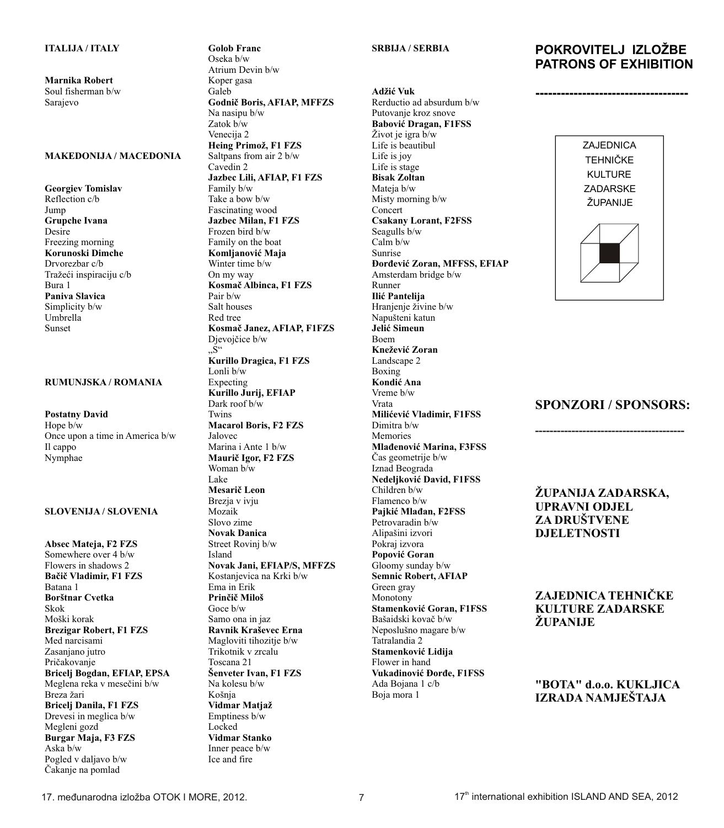**Marnika Robert** Soul fisherman b/w Sarajevo

#### **MAKEDONIJA / MACEDONIA**

**Georgiev Tomislav** Reflection c/b Jump **Grupche Ivana** Desire Freezing morning **Korunoski Dimche** Drvorezbar c/b Tražeći inspiraciju c/b Bura 1 **Paniva Slavica** Simplicity b/w Umbrella Sunset

#### **RUMUNJSKA / ROMANIA**

**Postatny David** Hope b/w Once upon a time in America b/w Il cappo Nymphae

#### **SLOVENIJA / SLOVENIA**

**Absec Mateja, F2 FZS** Somewhere over 4 b/w Flowers in shadows 2 **Baèiè Vladimir, F1 FZS** Batana 1 **Borštnar Cvetka** Skok Moški korak **Brezigar Robert, F1 FZS** Med narcisami Zasaniano jutro Pričakovanje **Bricelj Bogdan, EFIAP, EPSA** Meglena reka v meseèini b/w Breza žari **Bricelj Danila, F1 FZS** Drevesi in meglica b/w Megleni gozd **Burgar Maja, F3 FZS** Aska b/w Pogled v daljavo b/w Èakanje na pomlad

Oseka b/w Atrium Devin b/w Koper gasa Galeb **Godniè Boris, AFIAP, MFFZS** Na nasipu b/w Zatok b/w Venecija 2 **Heing Primož, F1 FZS** Saltpans from air 2 b/w Cavedin 2 **Jazbec Lili, AFIAP, F1 FZS** Family b/w Take a bow b/w Fascinating wood **Jazbec Milan, F1 FZS** Frozen bird b/w Family on the boat **Komljanoviæ Maja** Winter time b/w On my way **Kosmaè Albinca, F1 FZS** Pair b/w Salt houses Red tree **Kosmaè Janez, AFIAP, F1FZS** Djevojčice b/w "S" **Kurillo Dragica, F1 FZS** Lonli b/w Expecting **Kurillo Jurij, EFIAP** Dark roof b/w Twins **Macarol Boris, F2 FZS** Jalovec Marina i Ante 1 b/w **Mauriè Igor, F2 FZS** Woman b/w Lake **Mesariè Leon** Brezja v ivju Mozaik Slovo zime **Novak Danica** Street Rovinj b/w Island **Novak Jani, EFIAP/S, MFFZS** Kostanjevica na Krki b/w Ema in Erik **Prinèiè Miloš** Goce b/w Samo ona in jaz **Ravnik Kraševec Erna** Magloviti tihozitje b/w Trikotnik v zrcalu Toscana 21 **Šenveter Ivan, F1 FZS** Na kolesu b/w Košnja **Vidmar Matjaž** Emptiness b/w Locked **Vidmar Stanko** Inner peace b/w Ice and fire

**Golob Franc**

#### **SRBIJA / SERBIA**

**Adžiæ Vuk** Rerductio ad absurdum b/w Putovanje kroz snove **Baboviæ Dragan, F1FSS** Život je igra b/w Life is beautibul Life is joy Life is stage **Bisak Zoltan** Mateia b/w Misty morning b/w Concert **Csakany Lorant, F2FSS** Seagulls b/w Calm b/w Sunrise **Đorđević Zoran, MFFSS, EFIAP** Amsterdam bridge b/w Runner **Ilić Pantelija** Hranjenje živine b/w Napušteni katun **Jeliæ Simeun** Boem **Kneževiæ Zoran** Landscape 2 Boxing **Kondiæ Ana** Vreme b/w Vrata **Miliæeviæ Vladimir, F1FSS** Dimitra b/w Memories **Mlađenović Marina, F3FSS** Èas geometrije b/w Iznad Beograda **Nedeljković David, F1FSS** Children b/w Flamenco b/w Pajkić Mlađan, F<sub>2FSS</sub> Petrovaradin b/w Alipašini izvori Pokraj izvora **Popoviæ Goran** Gloomy sunday b/w **Semnic Robert, AFIAP** Green gray Monotony **Stamenković Goran, F1FSS** Bašaidski kovaè b/w Neposlušno magare b/w Tatralandia 2 **Stamenković Lidija** Flower in hand Vukadinović Đorđe, F1FSS Ada Bojana 1 c/b Boja mora 1

# **POKROVITELJ IZLOŽBE PATRONS OF EXHIBITION**

**------------------------------------**



### **SPONZORI / SPONSORS:**

**-----------------------------------------**

**ŽUPANIJA ZADARSKA, UPRAVNI ODJEL ZA DRUŠTVENE DJELETNOSTI**

**ZAJEDNICA TEHNIÈKE KULTURE ZADARSKE ŽUPANIJE**

**"BOTA" d.o.o. KUKLJICA IZRADA NAMJEŠTAJA**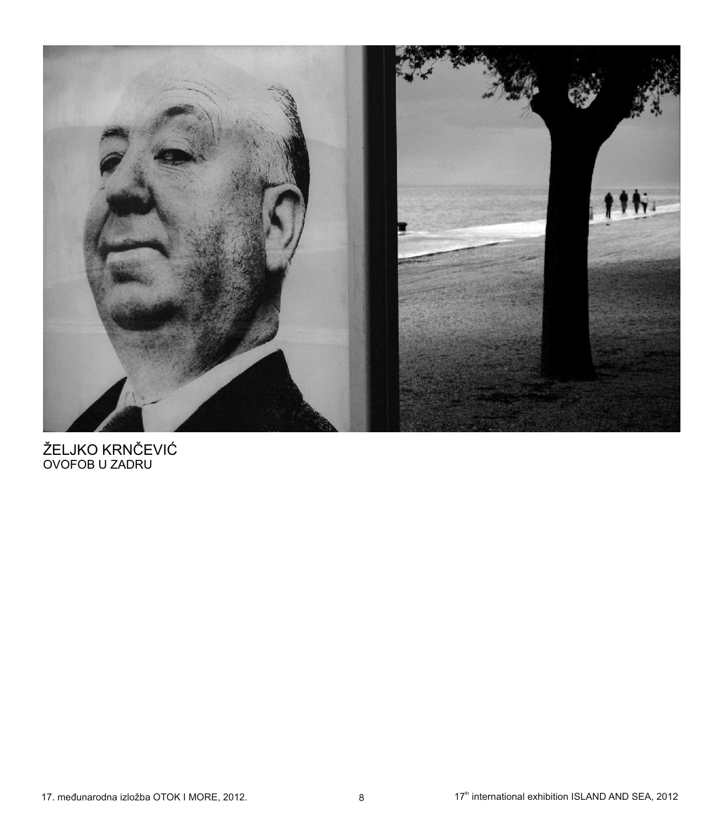

ŽELJKO KRNČEVIĆ<br>OVOFOB U ZADRU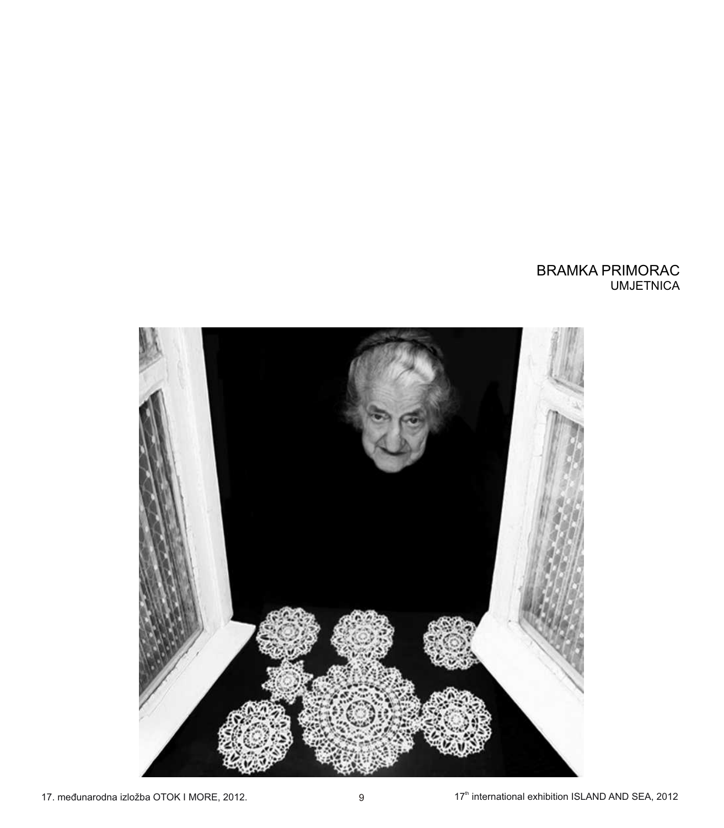# BRAMKA PRIMORAC UMJETNICA

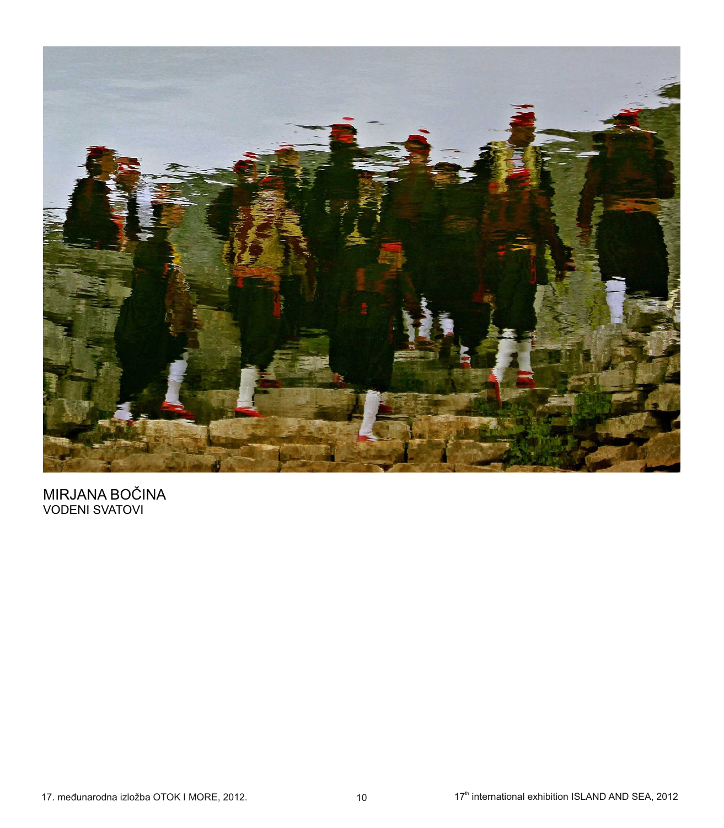

MIRJANA BOČINA<br>VODENI SVATOVI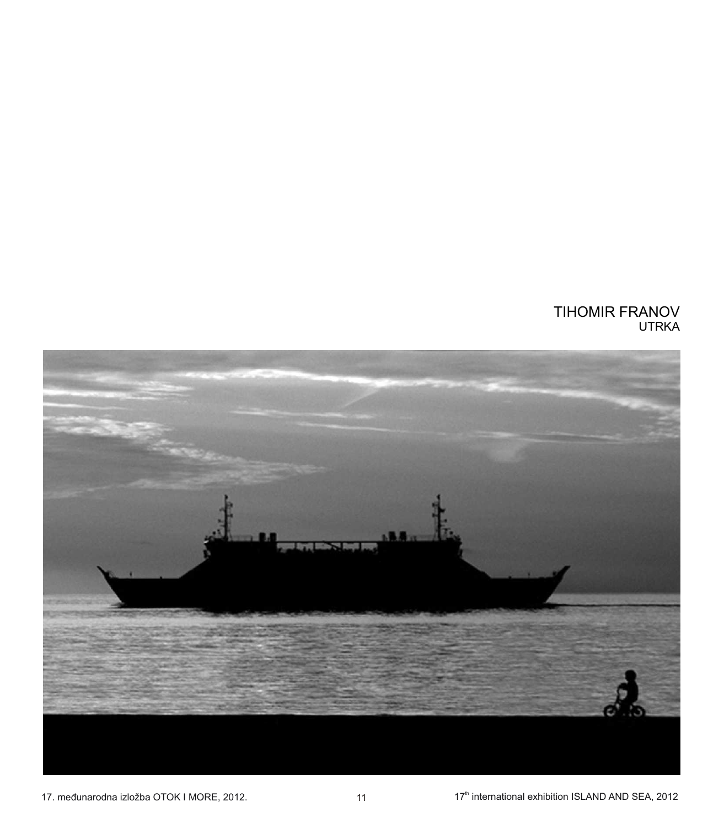# TIHOMIR FRANOV UTRKA